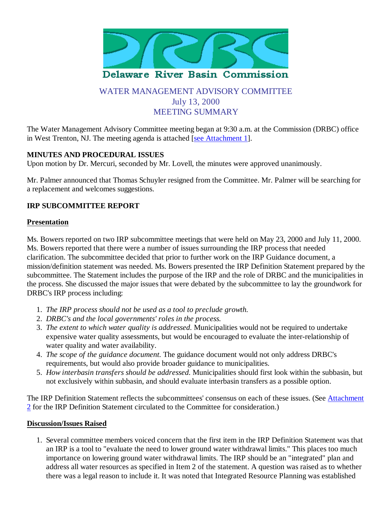

# WATER MANAGEMENT ADVISORY COMMITTEE July 13, 2000 MEETING SUMMARY

The Water Management Advisory Committee meeting began at 9:30 a.m. at the Commission (DRBC) office in West Trenton, NJ. The meeting agenda is attached [see Attachment 1].

## **MINUTES AND PROCEDURAL ISSUES**

Upon motion by Dr. Mercuri, seconded by Mr. Lovell, the minutes were approved unanimously.

Mr. Palmer announced that Thomas Schuyler resigned from the Committee. Mr. Palmer will be searching for a replacement and welcomes suggestions.

### **IRP SUBCOMMITTEE REPORT**

### **Presentation**

Ms. Bowers reported on two IRP subcommittee meetings that were held on May 23, 2000 and July 11, 2000. Ms. Bowers reported that there were a number of issues surrounding the IRP process that needed clarification. The subcommittee decided that prior to further work on the IRP Guidance document, a mission/definition statement was needed. Ms. Bowers presented the IRP Definition Statement prepared by the subcommittee. The Statement includes the purpose of the IRP and the role of DRBC and the municipalities in the process. She discussed the major issues that were debated by the subcommittee to lay the groundwork for DRBC's IRP process including:

- 1. *The IRP process should not be used as a tool to preclude growth.*
- 2. *DRBC's and the local governments' roles in the process.*
- *The extent to which water quality is addressed.* Municipalities would not be required to undertake 3. expensive water quality assessments, but would be encouraged to evaluate the inter-relationship of water quality and water availability.
- *The scope of the guidance document.* The guidance document would not only address DRBC's 4. requirements, but would also provide broader guidance to municipalities.
- *How interbasin transfers should be addressed.* Municipalities should first look within the subbasin, but 5. not exclusively within subbasin, and should evaluate interbasin transfers as a possible option.

The IRP Definition Statement reflects the subcommittees' consensus on each of these issues. (See Attachment 2 for the IRP Definition Statement circulated to the Committee for consideration.)

#### **Discussion/Issues Raised**

1. Several committee members voiced concern that the first item in the IRP Definition Statement was that an IRP is a tool to "evaluate the need to lower ground water withdrawal limits." This places too much importance on lowering ground water withdrawal limits. The IRP should be an "integrated" plan and address all water resources as specified in Item 2 of the statement. A question was raised as to whether there was a legal reason to include it. It was noted that Integrated Resource Planning was established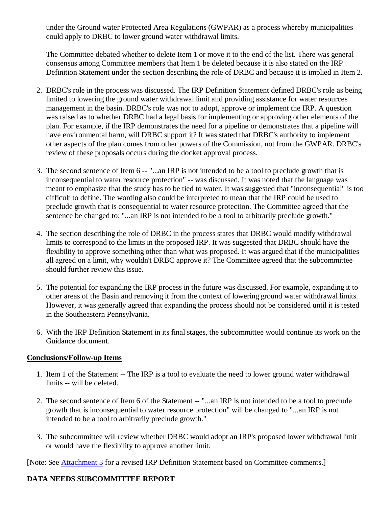under the Ground water Protected Area Regulations (GWPAR) as a process whereby municipalities could apply to DRBC to lower ground water withdrawal limits.

The Committee debated whether to delete Item 1 or move it to the end of the list. There was general consensus among Committee members that Item 1 be deleted because it is also stated on the IRP Definition Statement under the section describing the role of DRBC and because it is implied in Item 2.

- 2. DRBC's role in the process was discussed. The IRP Definition Statement defined DRBC's role as being limited to lowering the ground water withdrawal limit and providing assistance for water resources management in the basin. DRBC's role was not to adopt, approve or implement the IRP. A question was raised as to whether DRBC had a legal basis for implementing or approving other elements of the plan. For example, if the IRP demonstrates the need for a pipeline or demonstrates that a pipeline will have environmental harm, will DRBC support it? It was stated that DRBC's authority to implement other aspects of the plan comes from other powers of the Commission, not from the GWPAR. DRBC's review of these proposals occurs during the docket approval process.
- 3. The second sentence of Item 6 -- "...an IRP is not intended to be a tool to preclude growth that is inconsequential to water resource protection" -- was discussed. It was noted that the language was meant to emphasize that the study has to be tied to water. It was suggested that "inconsequential" is too difficult to define. The wording also could be interpreted to mean that the IRP could be used to preclude growth that is consequential to water resource protection. The Committee agreed that the sentence be changed to: "...an IRP is not intended to be a tool to arbitrarily preclude growth."
- 4. The section describing the role of DRBC in the process states that DRBC would modify withdrawal limits to correspond to the limits in the proposed IRP. It was suggested that DRBC should have the flexibility to approve something other than what was proposed. It was argued that if the municipalities all agreed on a limit, why wouldn't DRBC approve it? The Committee agreed that the subcommittee should further review this issue.
- 5. The potential for expanding the IRP process in the future was discussed. For example, expanding it to other areas of the Basin and removing it from the context of lowering ground water withdrawal limits. However, it was generally agreed that expanding the process should not be considered until it is tested in the Southeastern Pennsylvania.
- With the IRP Definition Statement in its final stages, the subcommittee would continue its work on the 6. Guidance document.

### **Conclusions/Follow-up Items**

- 1. Item 1 of the Statement -- The IRP is a tool to evaluate the need to lower ground water withdrawal limits -- will be deleted.
- 2. The second sentence of Item 6 of the Statement -- "...an IRP is not intended to be a tool to preclude growth that is inconsequential to water resource protection" will be changed to "...an IRP is not intended to be a tool to arbitrarily preclude growth."
- The subcommittee will review whether DRBC would adopt an IRP's proposed lower withdrawal limit 3. or would have the flexibility to approve another limit.

[Note: See Attachment 3 for a revised IRP Definition Statement based on Committee comments.]

## **DATA NEEDS SUBCOMMITTEE REPORT**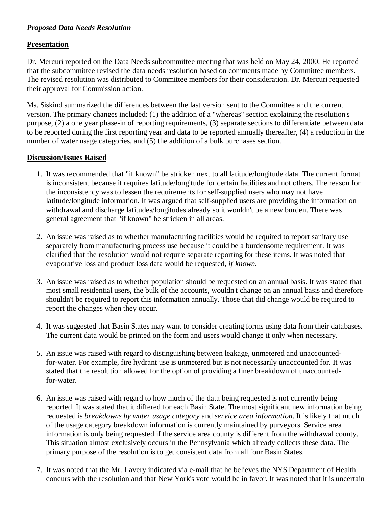## *Proposed Data Needs Resolution*

### **Presentation**

Dr. Mercuri reported on the Data Needs subcommittee meeting that was held on May 24, 2000. He reported that the subcommittee revised the data needs resolution based on comments made by Committee members. The revised resolution was distributed to Committee members for their consideration. Dr. Mercuri requested their approval for Commission action.

Ms. Siskind summarized the differences between the last version sent to the Committee and the current version. The primary changes included: (1) the addition of a "whereas" section explaining the resolution's purpose, (2) a one year phase-in of reporting requirements, (3) separate sections to differentiate between data to be reported during the first reporting year and data to be reported annually thereafter, (4) a reduction in the number of water usage categories, and (5) the addition of a bulk purchases section.

### **Discussion/Issues Raised**

- 1. It was recommended that "if known" be stricken next to all latitude/longitude data. The current format is inconsistent because it requires latitude/longitude for certain facilities and not others. The reason for the inconsistency was to lessen the requirements for self-supplied users who may not have latitude/longitude information. It was argued that self-supplied users are providing the information on withdrawal and discharge latitudes/longitudes already so it wouldn't be a new burden. There was general agreement that "if known" be stricken in all areas.
- An issue was raised as to whether manufacturing facilities would be required to report sanitary use 2. separately from manufacturing process use because it could be a burdensome requirement. It was clarified that the resolution would not require separate reporting for these items. It was noted that evaporative loss and product loss data would be requested, *if known.*
- An issue was raised as to whether population should be requested on an annual basis. It was stated that 3. most small residential users, the bulk of the accounts, wouldn't change on an annual basis and therefore shouldn't be required to report this information annually. Those that did change would be required to report the changes when they occur.
- 4. It was suggested that Basin States may want to consider creating forms using data from their databases. The current data would be printed on the form and users would change it only when necessary.
- 5. An issue was raised with regard to distinguishing between leakage, unmetered and unaccountedfor-water. For example, fire hydrant use is unmetered but is not necessarily unaccounted for. It was stated that the resolution allowed for the option of providing a finer breakdown of unaccountedfor-water.
- An issue was raised with regard to how much of the data being requested is not currently being 6. reported. It was stated that it differed for each Basin State. The most significant new information being requested is *breakdowns by water usage category* and *service area information*. It is likely that much of the usage category breakdown information is currently maintained by purveyors. Service area information is only being requested if the service area county is different from the withdrawal county. This situation almost exclusively occurs in the Pennsylvania which already collects these data. The primary purpose of the resolution is to get consistent data from all four Basin States.
- 7. It was noted that the Mr. Lavery indicated via e-mail that he believes the NYS Department of Health concurs with the resolution and that New York's vote would be in favor. It was noted that it is uncertain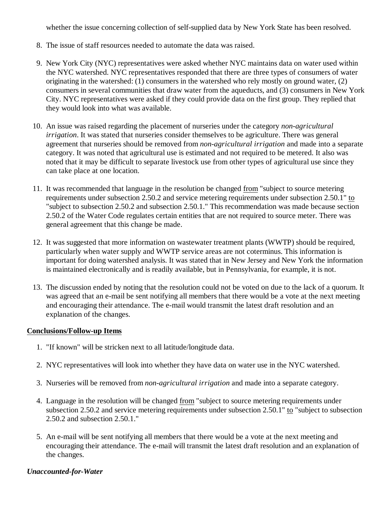whether the issue concerning collection of self-supplied data by New York State has been resolved.

- 8. The issue of staff resources needed to automate the data was raised.
- 9. New York City (NYC) representatives were asked whether NYC maintains data on water used within the NYC watershed. NYC representatives responded that there are three types of consumers of water originating in the watershed: (1) consumers in the watershed who rely mostly on ground water, (2) consumers in several communities that draw water from the aqueducts, and (3) consumers in New York City. NYC representatives were asked if they could provide data on the first group. They replied that they would look into what was available.
- An issue was raised regarding the placement of nurseries under the category *non-agricultural* 10. *irrigation*. It was stated that nurseries consider themselves to be agriculture. There was general agreement that nurseries should be removed from *non-agricultural irrigation* and made into a separate category. It was noted that agricultural use is estimated and not required to be metered. It also was noted that it may be difficult to separate livestock use from other types of agricultural use since they can take place at one location.
- 11. It was recommended that language in the resolution be changed from "subject to source metering requirements under subsection 2.50.2 and service metering requirements under subsection 2.50.1" to "subject to subsection 2.50.2 and subsection 2.50.1." This recommendation was made because section 2.50.2 of the Water Code regulates certain entities that are not required to source meter. There was general agreement that this change be made.
- 12. It was suggested that more information on wastewater treatment plants (WWTP) should be required, particularly when water supply and WWTP service areas are not coterminus. This information is important for doing watershed analysis. It was stated that in New Jersey and New York the information is maintained electronically and is readily available, but in Pennsylvania, for example, it is not.
- 13. The discussion ended by noting that the resolution could not be voted on due to the lack of a quorum. It was agreed that an e-mail be sent notifying all members that there would be a vote at the next meeting and encouraging their attendance. The e-mail would transmit the latest draft resolution and an explanation of the changes.

#### **Conclusions/Follow-up Items**

- 1. "If known" will be stricken next to all latitude/longitude data.
- 2. NYC representatives will look into whether they have data on water use in the NYC watershed.
- 3. Nurseries will be removed from *non-agricultural irrigation* and made into a separate category.
- 4. Language in the resolution will be changed from "subject to source metering requirements under subsection 2.50.2 and service metering requirements under subsection 2.50.1" to "subject to subsection 2.50.2 and subsection 2.50.1."
- 5. An e-mail will be sent notifying all members that there would be a vote at the next meeting and encouraging their attendance. The e-mail will transmit the latest draft resolution and an explanation of the changes.

### *Unaccounted-for-Water*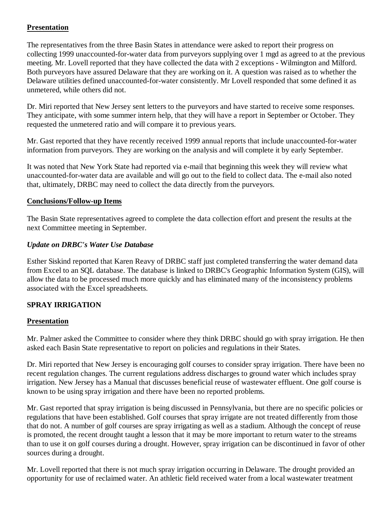## **Presentation**

The representatives from the three Basin States in attendance were asked to report their progress on collecting 1999 unaccounted-for-water data from purveyors supplying over 1 mgd as agreed to at the previous meeting. Mr. Lovell reported that they have collected the data with 2 exceptions - Wilmington and Milford. Both purveyors have assured Delaware that they are working on it. A question was raised as to whether the Delaware utilities defined unaccounted-for-water consistently. Mr Lovell responded that some defined it as unmetered, while others did not.

Dr. Miri reported that New Jersey sent letters to the purveyors and have started to receive some responses. They anticipate, with some summer intern help, that they will have a report in September or October. They requested the unmetered ratio and will compare it to previous years.

Mr. Gast reported that they have recently received 1999 annual reports that include unaccounted-for-water information from purveyors. They are working on the analysis and will complete it by early September.

It was noted that New York State had reported via e-mail that beginning this week they will review what unaccounted-for-water data are available and will go out to the field to collect data. The e-mail also noted that, ultimately, DRBC may need to collect the data directly from the purveyors.

### **Conclusions/Follow-up Items**

The Basin State representatives agreed to complete the data collection effort and present the results at the next Committee meeting in September.

## *Update on DRBC's Water Use Database*

Esther Siskind reported that Karen Reavy of DRBC staff just completed transferring the water demand data from Excel to an SQL database. The database is linked to DRBC's Geographic Information System (GIS), will allow the data to be processed much more quickly and has eliminated many of the inconsistency problems associated with the Excel spreadsheets.

## **SPRAY IRRIGATION**

### **Presentation**

Mr. Palmer asked the Committee to consider where they think DRBC should go with spray irrigation. He then asked each Basin State representative to report on policies and regulations in their States.

Dr. Miri reported that New Jersey is encouraging golf courses to consider spray irrigation. There have been no recent regulation changes. The current regulations address discharges to ground water which includes spray irrigation. New Jersey has a Manual that discusses beneficial reuse of wastewater effluent. One golf course is known to be using spray irrigation and there have been no reported problems.

Mr. Gast reported that spray irrigation is being discussed in Pennsylvania, but there are no specific policies or regulations that have been established. Golf courses that spray irrigate are not treated differently from those that do not. A number of golf courses are spray irrigating as well as a stadium. Although the concept of reuse is promoted, the recent drought taught a lesson that it may be more important to return water to the streams than to use it on golf courses during a drought. However, spray irrigation can be discontinued in favor of other sources during a drought.

Mr. Lovell reported that there is not much spray irrigation occurring in Delaware. The drought provided an opportunity for use of reclaimed water. An athletic field received water from a local wastewater treatment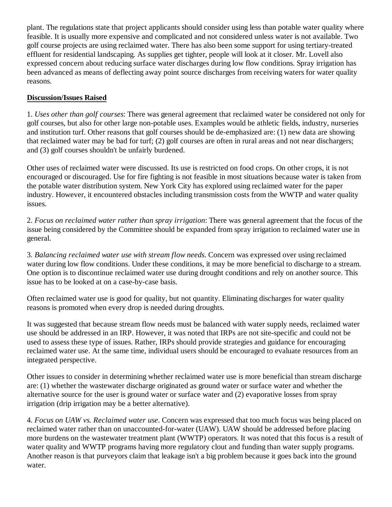plant. The regulations state that project applicants should consider using less than potable water quality where feasible. It is usually more expensive and complicated and not considered unless water is not available. Two golf course projects are using reclaimed water. There has also been some support for using tertiary-treated effluent for residential landscaping. As supplies get tighter, people will look at it closer. Mr. Lovell also expressed concern about reducing surface water discharges during low flow conditions. Spray irrigation has been advanced as means of deflecting away point source discharges from receiving waters for water quality reasons.

## **Discussion/Issues Raised**

1. *Uses other than golf courses*: There was general agreement that reclaimed water be considered not only for golf courses, but also for other large non-potable uses. Examples would be athletic fields, industry, nurseries and institution turf. Other reasons that golf courses should be de-emphasized are: (1) new data are showing that reclaimed water may be bad for turf; (2) golf courses are often in rural areas and not near dischargers; and (3) golf courses shouldn't be unfairly burdened.

Other uses of reclaimed water were discussed. Its use is restricted on food crops. On other crops, it is not encouraged or discouraged. Use for fire fighting is not feasible in most situations because water is taken from the potable water distribution system. New York City has explored using reclaimed water for the paper industry. However, it encountered obstacles including transmission costs from the WWTP and water quality issues.

2. *Focus on reclaimed water rather than spray irrigation*: There was general agreement that the focus of the issue being considered by the Committee should be expanded from spray irrigation to reclaimed water use in general.

3. *Balancing reclaimed water use with stream flow needs*. Concern was expressed over using reclaimed water during low flow conditions. Under these conditions, it may be more beneficial to discharge to a stream. One option is to discontinue reclaimed water use during drought conditions and rely on another source. This issue has to be looked at on a case-by-case basis.

Often reclaimed water use is good for quality, but not quantity. Eliminating discharges for water quality reasons is promoted when every drop is needed during droughts.

It was suggested that because stream flow needs must be balanced with water supply needs, reclaimed water use should be addressed in an IRP. However, it was noted that IRPs are not site-specific and could not be used to assess these type of issues. Rather, IRPs should provide strategies and guidance for encouraging reclaimed water use. At the same time, individual users should be encouraged to evaluate resources from an integrated perspective.

Other issues to consider in determining whether reclaimed water use is more beneficial than stream discharge are: (1) whether the wastewater discharge originated as ground water or surface water and whether the alternative source for the user is ground water or surface water and (2) evaporative losses from spray irrigation (drip irrigation may be a better alternative).

4. *Focus on UAW vs. Reclaimed water use*. Concern was expressed that too much focus was being placed on reclaimed water rather than on unaccounted-for-water (UAW). UAW should be addressed before placing more burdens on the wastewater treatment plant (WWTP) operators. It was noted that this focus is a result of water quality and WWTP programs having more regulatory clout and funding than water supply programs. Another reason is that purveyors claim that leakage isn't a big problem because it goes back into the ground water.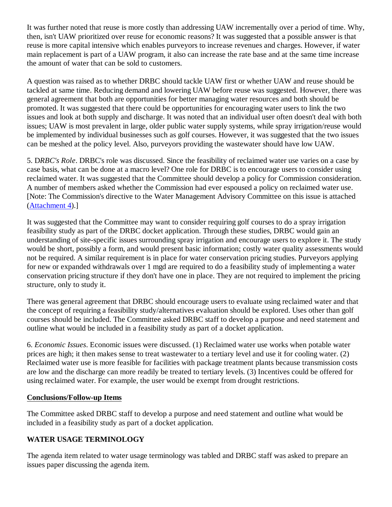It was further noted that reuse is more costly than addressing UAW incrementally over a period of time. Why, then, isn't UAW prioritized over reuse for economic reasons? It was suggested that a possible answer is that reuse is more capital intensive which enables purveyors to increase revenues and charges. However, if water main replacement is part of a UAW program, it also can increase the rate base and at the same time increase the amount of water that can be sold to customers.

A question was raised as to whether DRBC should tackle UAW first or whether UAW and reuse should be tackled at same time. Reducing demand and lowering UAW before reuse was suggested. However, there was general agreement that both are opportunities for better managing water resources and both should be promoted. It was suggested that there could be opportunities for encouraging water users to link the two issues and look at both supply and discharge. It was noted that an individual user often doesn't deal with both issues; UAW is most prevalent in large, older public water supply systems, while spray irrigation/reuse would be implemented by individual businesses such as golf courses. However, it was suggested that the two issues can be meshed at the policy level. Also, purveyors providing the wastewater should have low UAW.

5. D*RBC's Role*. DRBC's role was discussed. Since the feasibility of reclaimed water use varies on a case by case basis, what can be done at a macro level? One role for DRBC is to encourage users to consider using reclaimed water. It was suggested that the Committee should develop a policy for Commission consideration. A number of members asked whether the Commission had ever espoused a policy on reclaimed water use. [Note: The Commission's directive to the Water Management Advisory Committee on this issue is attached (Attachment 4).]

It was suggested that the Committee may want to consider requiring golf courses to do a spray irrigation feasibility study as part of the DRBC docket application. Through these studies, DRBC would gain an understanding of site-specific issues surrounding spray irrigation and encourage users to explore it. The study would be short, possibly a form, and would present basic information; costly water quality assessments would not be required. A similar requirement is in place for water conservation pricing studies. Purveyors applying for new or expanded withdrawals over 1 mgd are required to do a feasibility study of implementing a water conservation pricing structure if they don't have one in place. They are not required to implement the pricing structure, only to study it.

There was general agreement that DRBC should encourage users to evaluate using reclaimed water and that the concept of requiring a feasibility study/alternatives evaluation should be explored. Uses other than golf courses should be included. The Committee asked DRBC staff to develop a purpose and need statement and outline what would be included in a feasibility study as part of a docket application.

6. *Economic Issues*. Economic issues were discussed. (1) Reclaimed water use works when potable water prices are high; it then makes sense to treat wastewater to a tertiary level and use it for cooling water. (2) Reclaimed water use is more feasible for facilities with package treatment plants because transmission costs are low and the discharge can more readily be treated to tertiary levels. (3) Incentives could be offered for using reclaimed water. For example, the user would be exempt from drought restrictions.

### **Conclusions/Follow-up Items**

The Committee asked DRBC staff to develop a purpose and need statement and outline what would be included in a feasibility study as part of a docket application.

## **WATER USAGE TERMINOLOGY**

The agenda item related to water usage terminology was tabled and DRBC staff was asked to prepare an issues paper discussing the agenda item.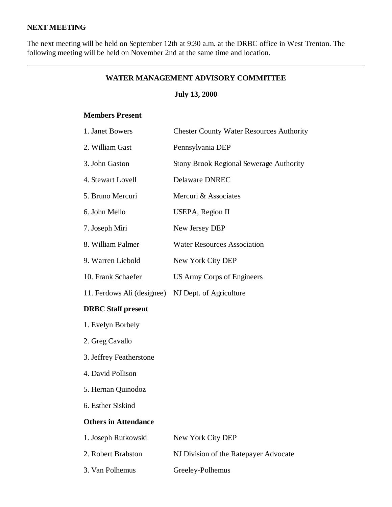## **NEXT MEETING**

The next meeting will be held on September 12th at 9:30 a.m. at the DRBC office in West Trenton. The following meeting will be held on November 2nd at the same time and location.

### **WATER MANAGEMENT ADVISORY COMMITTEE**

## **July 13, 2000**

#### **Members Present**

| 1. Janet Bowers             | <b>Chester County Water Resources Authority</b> |
|-----------------------------|-------------------------------------------------|
| 2. William Gast             | Pennsylvania DEP                                |
| 3. John Gaston              | <b>Stony Brook Regional Sewerage Authority</b>  |
| 4. Stewart Lovell           | <b>Delaware DNREC</b>                           |
| 5. Bruno Mercuri            | Mercuri & Associates                            |
| 6. John Mello               | <b>USEPA, Region II</b>                         |
| 7. Joseph Miri              | New Jersey DEP                                  |
| 8. William Palmer           | <b>Water Resources Association</b>              |
| 9. Warren Liebold           | New York City DEP                               |
| 10. Frank Schaefer          | US Army Corps of Engineers                      |
| 11. Ferdows Ali (designee)  | NJ Dept. of Agriculture                         |
| <b>DRBC</b> Staff present   |                                                 |
| 1. Evelyn Borbely           |                                                 |
| 2. Greg Cavallo             |                                                 |
| 3. Jeffrey Featherstone     |                                                 |
| 4. David Pollison           |                                                 |
| 5. Hernan Quinodoz          |                                                 |
| 6. Esther Siskind           |                                                 |
| <b>Others in Attendance</b> |                                                 |
| 1. Joseph Rutkowski         | New York City DEP                               |
| 2. Robert Brabston          | NJ Division of the Ratepayer Advocate           |
|                             |                                                 |

3. Van Polhemus Greeley-Polhemus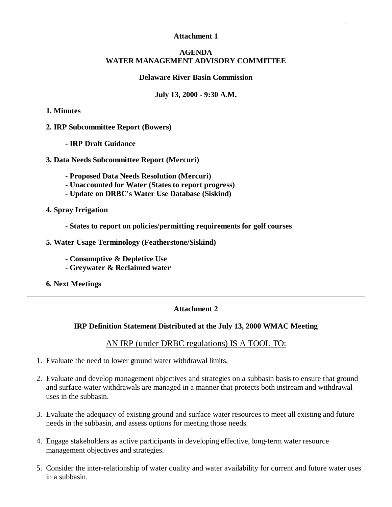### **Attachment 1**

#### **AGENDA WATER MANAGEMENT ADVISORY COMMITTEE**

#### **Delaware River Basin Commission**

#### **July 13, 2000 - 9:30 A.M.**

#### **1. Minutes**

#### **2. IRP Subcommittee Report (Bowers)**

**- IRP Draft Guidance**

#### **3. Data Needs Subcommittee Report (Mercuri)**

- **Proposed Data Needs Resolution (Mercuri)**
- **Unaccounted for Water (States to report progress)**
- **Update on DRBC's Water Use Database (Siskind)**
- **4. Spray Irrigation**
	- **States to report on policies/permitting requirements for golf courses**
- **5. Water Usage Terminology (Featherstone/Siskind)**
	- **Consumptive & Depletive Use**
	- **Greywater & Reclaimed water**
- **6. Next Meetings**

#### **Attachment 2**

#### **IRP Definition Statement Distributed at the July 13, 2000 WMAC Meeting**

### AN IRP (under DRBC regulations) IS A TOOL TO:

- 1. Evaluate the need to lower ground water withdrawal limits.
- 2. Evaluate and develop management objectives and strategies on a subbasin basis to ensure that ground and surface water withdrawals are managed in a manner that protects both instream and withdrawal uses in the subbasin.
- Evaluate the adequacy of existing ground and surface water resources to meet all existing and future 3. needs in the subbasin, and assess options for meeting those needs.
- Engage stakeholders as active participants in developing effective, long-term water resource 4. management objectives and strategies.
- 5. Consider the inter-relationship of water quality and water availability for current and future water uses in a subbasin.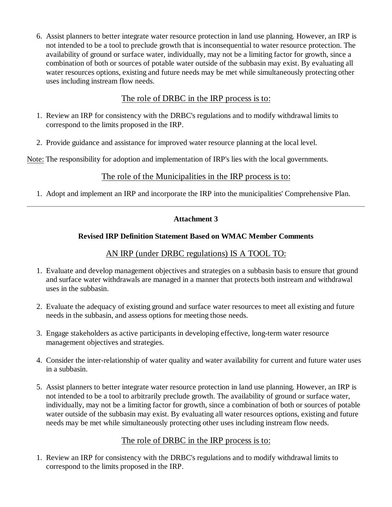Assist planners to better integrate water resource protection in land use planning. However, an IRP is 6. not intended to be a tool to preclude growth that is inconsequential to water resource protection. The availability of ground or surface water, individually, may not be a limiting factor for growth, since a combination of both or sources of potable water outside of the subbasin may exist. By evaluating all water resources options, existing and future needs may be met while simultaneously protecting other uses including instream flow needs.

## The role of DRBC in the IRP process is to:

- 1. Review an IRP for consistency with the DRBC's regulations and to modify withdrawal limits to correspond to the limits proposed in the IRP.
- 2. Provide guidance and assistance for improved water resource planning at the local level.

Note: The responsibility for adoption and implementation of IRP's lies with the local governments.

## The role of the Municipalities in the IRP process is to:

1. Adopt and implement an IRP and incorporate the IRP into the municipalities' Comprehensive Plan.

## **Attachment 3**

### **Revised IRP Definition Statement Based on WMAC Member Comments**

## AN IRP (under DRBC regulations) IS A TOOL TO:

- 1. Evaluate and develop management objectives and strategies on a subbasin basis to ensure that ground and surface water withdrawals are managed in a manner that protects both instream and withdrawal uses in the subbasin.
- 2. Evaluate the adequacy of existing ground and surface water resources to meet all existing and future needs in the subbasin, and assess options for meeting those needs.
- Engage stakeholders as active participants in developing effective, long-term water resource 3. management objectives and strategies.
- Consider the inter-relationship of water quality and water availability for current and future water uses 4. in a subbasin.
- 5. Assist planners to better integrate water resource protection in land use planning. However, an IRP is not intended to be a tool to arbitrarily preclude growth. The availability of ground or surface water, individually, may not be a limiting factor for growth, since a combination of both or sources of potable water outside of the subbasin may exist. By evaluating all water resources options, existing and future needs may be met while simultaneously protecting other uses including instream flow needs.

# The role of DRBC in the IRP process is to:

1. Review an IRP for consistency with the DRBC's regulations and to modify withdrawal limits to correspond to the limits proposed in the IRP.